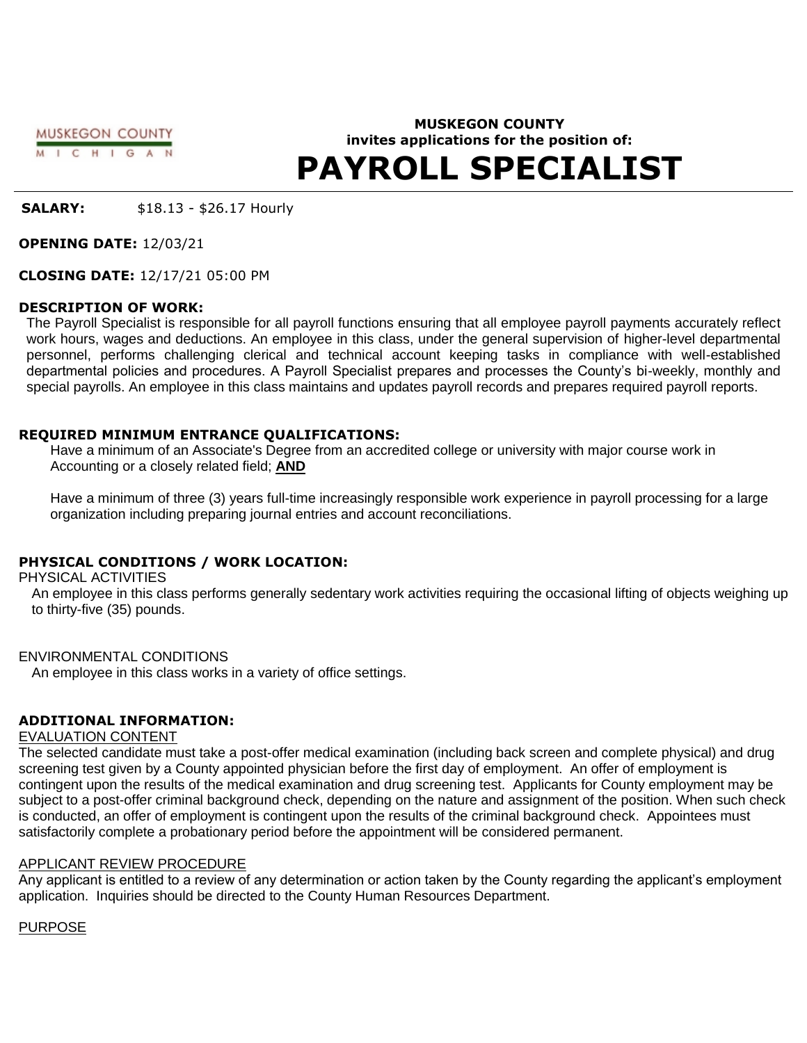MUSKEGON COUNTY M I C H I G A N

# **MUSKEGON COUNTY invites applications for the position of: PAYROLL SPECIALIST**

**SALARY:** \$18.13 - \$26.17 Hourly

**OPENING DATE:** 12/03/21

**CLOSING DATE:** 12/17/21 05:00 PM

### **DESCRIPTION OF WORK:**

The Payroll Specialist is responsible for all payroll functions ensuring that all employee payroll payments accurately reflect work hours, wages and deductions. An employee in this class, under the general supervision of higher-level departmental personnel, performs challenging clerical and technical account keeping tasks in compliance with well-established departmental policies and procedures. A Payroll Specialist prepares and processes the County's bi-weekly, monthly and special payrolls. An employee in this class maintains and updates payroll records and prepares required payroll reports.

### **REQUIRED MINIMUM ENTRANCE QUALIFICATIONS:**

Have a minimum of an Associate's Degree from an accredited college or university with major course work in Accounting or a closely related field; **AND**

Have a minimum of three (3) years full-time increasingly responsible work experience in payroll processing for a large organization including preparing journal entries and account reconciliations.

## **PHYSICAL CONDITIONS / WORK LOCATION:**

PHYSICAL ACTIVITIES

An employee in this class performs generally sedentary work activities requiring the occasional lifting of objects weighing up to thirty-five (35) pounds.

ENVIRONMENTAL CONDITIONS

An employee in this class works in a variety of office settings.

# **ADDITIONAL INFORMATION:**

### EVALUATION CONTENT

The selected candidate must take a post-offer medical examination (including back screen and complete physical) and drug screening test given by a County appointed physician before the first day of employment. An offer of employment is contingent upon the results of the medical examination and drug screening test. Applicants for County employment may be subject to a post-offer criminal background check, depending on the nature and assignment of the position. When such check is conducted, an offer of employment is contingent upon the results of the criminal background check. Appointees must satisfactorily complete a probationary period before the appointment will be considered permanent.

## APPLICANT REVIEW PROCEDURE

Any applicant is entitled to a review of any determination or action taken by the County regarding the applicant's employment application. Inquiries should be directed to the County Human Resources Department.

PURPOSE